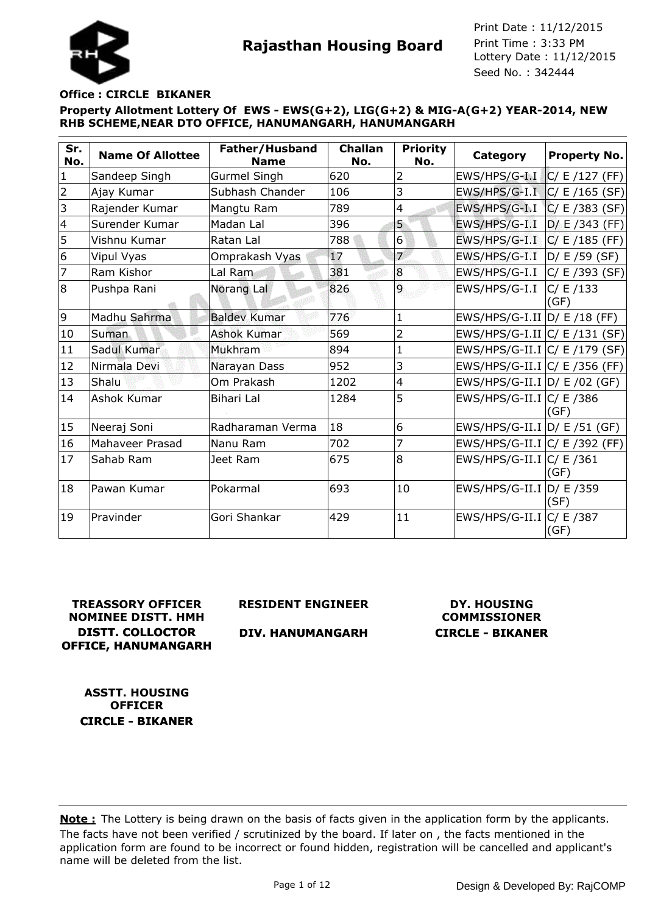



#### **Office : CIRCLE BIKANER**

**Property Allotment Lottery Of EWS - EWS(G+2), LIG(G+2) & MIG-A(G+2) YEAR-2014, NEW RHB SCHEME,NEAR DTO OFFICE, HANUMANGARH, HANUMANGARH**

| Sr.<br>No.     | <b>Name Of Allottee</b> | Father/Husband<br><b>Name</b> | <b>Challan</b><br>No. | <b>Priority</b><br>No. | Category                         | <b>Property No.</b> |
|----------------|-------------------------|-------------------------------|-----------------------|------------------------|----------------------------------|---------------------|
| $\mathbf{1}$   | Sandeep Singh           | <b>Gurmel Singh</b>           | 620                   | $\overline{2}$         | $EWS/HPS/G-I.I$                  | C/E/127(FF)         |
| $\overline{2}$ | Ajay Kumar              | Subhash Chander               | 106                   | 3                      | EWS/HPS/G-I.I C/ E /165 (SF)     |                     |
| 3              | Rajender Kumar          | Mangtu Ram                    | 789                   | 4                      | EWS/HPS/G-I.I                    | C/E/383(SF)         |
| $\overline{4}$ | Surender Kumar          | Madan Lal                     | 396                   | 5                      | EWS/HPS/G-I.I                    | D/E/343(FF)         |
| 5              | Vishnu Kumar            | Ratan Lal                     | 788                   | $6 \overline{6}$       | EWS/HPS/G-I.I C/ E /185 (FF)     |                     |
| 6              | Vipul Vyas              | Omprakash Vyas                | 17                    | $\overline{7}$         | EWS/HPS/G-I.I  D/ E /59 (SF)     |                     |
| 7              | Ram Kishor              | Lal Ram                       | 381                   | 8                      | $EWS/HPS/G-I.I$ $ C/E/393(SF) $  |                     |
| 8              | Pushpa Rani             | Norang Lal                    | 826                   | $\overline{9}$         | EWS/HPS/G-I.I                    | C/ E /133<br>(GF)   |
| 9              | Madhu Sahrma            | <b>Baldev Kumar</b>           | 776                   | $\mathbf{1}$           | EWS/HPS/G-I.II D/ E /18 (FF)     |                     |
| 10             | Suman                   | <b>Ashok Kumar</b>            | 569                   | 2                      | EWS/HPS/G-I.II $ C/E/131(SF) $   |                     |
| 11             | Sadul Kumar             | Mukhram                       | 894                   | 1                      | EWS/HPS/G-II.I C/ E /179 (SF)    |                     |
| 12             | Nirmala Devi            | Narayan Dass                  | 952                   | 3                      | EWS/HPS/G-II.I $ C/E $ /356 (FF) |                     |
| 13             | Shalu                   | Om Prakash                    | 1202                  | 4                      | EWS/HPS/G-II.I $ D/E/02(GF) $    |                     |
| 14             | Ashok Kumar             | Bihari Lal                    | 1284                  | 5                      | EWS/HPS/G-II.I $ C $ E /386      | (GF)                |
| 15             | Neeraj Soni             | Radharaman Verma              | 18                    | 6                      | EWS/HPS/G-II.I $D/E$ /51 (GF)    |                     |
| 16             | Mahaveer Prasad         | Nanu Ram                      | 702                   | 7                      | EWS/HPS/G-II.I $ C/E $ /392 (FF) |                     |
| 17             | Sahab Ram               | Jeet Ram                      | 675                   | 8                      | EWS/HPS/G-II.I C/ E /361         | (GF)                |
| 18             | Pawan Kumar             | Pokarmal                      | 693                   | 10                     | EWS/HPS/G-II.I $D/E$ /359        | (SF)                |
| 19             | Pravinder               | Gori Shankar                  | 429                   | 11                     | EWS/HPS/G-II.I $ C $ E /387      | (GF)                |

**TREASSORY OFFICER NOMINEE DISTT. HMH DISTT. COLLOCTOR OFFICE, HANUMANGARH**

**RESIDENT ENGINEER**

**DIV. HANUMANGARH**

**DY. HOUSING COMMISSIONER CIRCLE - BIKANER**

**ASSTT. HOUSING OFFICER CIRCLE - BIKANER**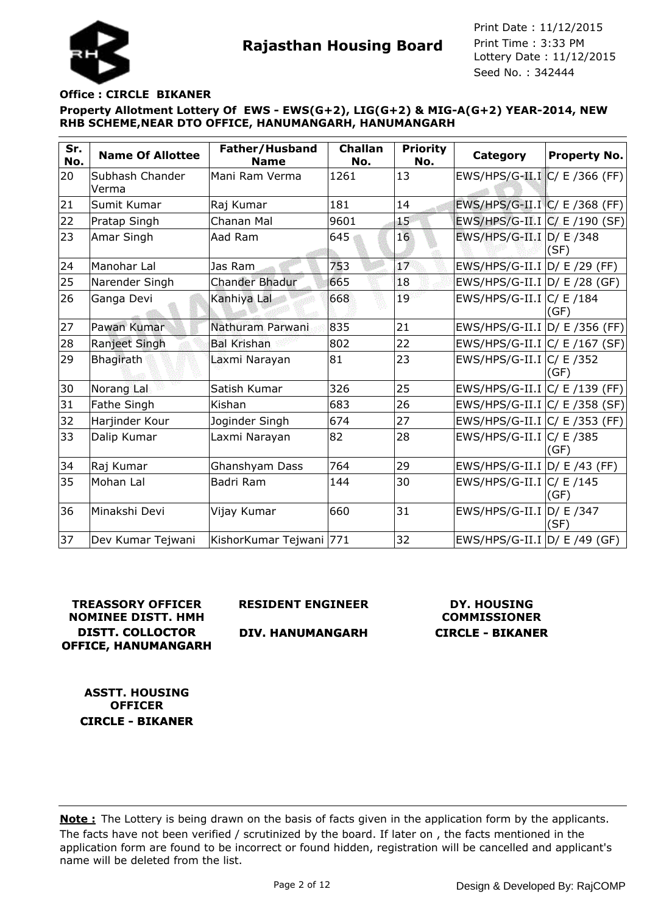

## **Office : CIRCLE BIKANER**

**Property Allotment Lottery Of EWS - EWS(G+2), LIG(G+2) & MIG-A(G+2) YEAR-2014, NEW RHB SCHEME,NEAR DTO OFFICE, HANUMANGARH, HANUMANGARH**

| Sr.<br>No. | <b>Name Of Allottee</b>  | Father/Husband<br><b>Name</b> | <b>Challan</b><br>No. | <b>Priority</b><br>No. | Category                        | <b>Property No.</b> |
|------------|--------------------------|-------------------------------|-----------------------|------------------------|---------------------------------|---------------------|
| 20         | Subhash Chander<br>Verma | Mani Ram Verma                | 1261                  | 13                     | EWS/HPS/G-II.I C/ E /366 (FF)   |                     |
| 21         | Sumit Kumar              | Raj Kumar                     | 181                   | 14                     | EWS/HPS/G-II.I C/ E /368 (FF)   |                     |
| 22         | Pratap Singh             | Chanan Mal                    | 9601                  | 15                     | EWS/HPS/G-II.I $C/$ E /190 (SF) |                     |
| 23         | Amar Singh               | Aad Ram                       | 645                   | 16                     | EWS/HPS/G-II.I D/ E /348        | (SF)                |
| 24         | Manohar Lal              | Jas Ram                       | 753                   | 17                     | EWS/HPS/G-II.I D/ E /29 (FF)    |                     |
| 25         | Narender Singh           | <b>Chander Bhadur</b>         | 665                   | 18                     | $EWS/HPS/G-II.I D/E/28(GF)$     |                     |
| 26         | Ganga Devi               | Kanhiya Lal                   | 668                   | 19                     | EWS/HPS/G-II.I $ C $ E /184     | (GF)                |
| 27         | Pawan Kumar              | Nathuram Parwani              | 835                   | 21                     | EWS/HPS/G-II.I D/ E /356 (FF)   |                     |
| 28         | Ranjeet Singh            | <b>Bal Krishan</b>            | 802                   | 22                     | $EWS/HPS/G-II.I C/E/167(SF)$    |                     |
| 29         | Bhagirath                | Laxmi Narayan                 | 81                    | 23                     | EWS/HPS/G-II.I $ C $ E /352     | (GF)                |
| 30         | Norang Lal               | Satish Kumar                  | 326                   | 25                     | EWS/HPS/G-II.I $ C/E/139(FF) $  |                     |
| 31         | Fathe Singh              | Kishan                        | 683                   | 26                     | EWS/HPS/G-II.I C/ E /358 (SF)   |                     |
| 32         | Harjinder Kour           | Joginder Singh                | 674                   | 27                     | EWS/HPS/G-II.I C/ E /353 (FF)   |                     |
| 33         | Dalip Kumar              | Laxmi Narayan                 | 82                    | 28                     | EWS/HPS/G-II.I C/ E /385        | (GF)                |
| 34         | Raj Kumar                | Ghanshyam Dass                | 764                   | 29                     | EWS/HPS/G-II.I D/ E /43 (FF)    |                     |
| 35         | Mohan Lal                | Badri Ram                     | 144                   | 30                     | EWS/HPS/G-II.I $ C $ E /145     | (GF)                |
| 36         | Minakshi Devi            | Vijay Kumar                   | 660                   | 31                     | EWS/HPS/G-II.I $D/E$ /347       | (SF)                |
| 37         | Dev Kumar Tejwani        | KishorKumar Tejwani 771       |                       | 32                     | EWS/HPS/G-II.I $D / E$ /49 (GF) |                     |

## **TREASSORY OFFICER NOMINEE DISTT. HMH DISTT. COLLOCTOR OFFICE, HANUMANGARH**

**RESIDENT ENGINEER**

**DIV. HANUMANGARH**

# **DY. HOUSING COMMISSIONER CIRCLE - BIKANER**

**ASSTT. HOUSING OFFICER CIRCLE - BIKANER**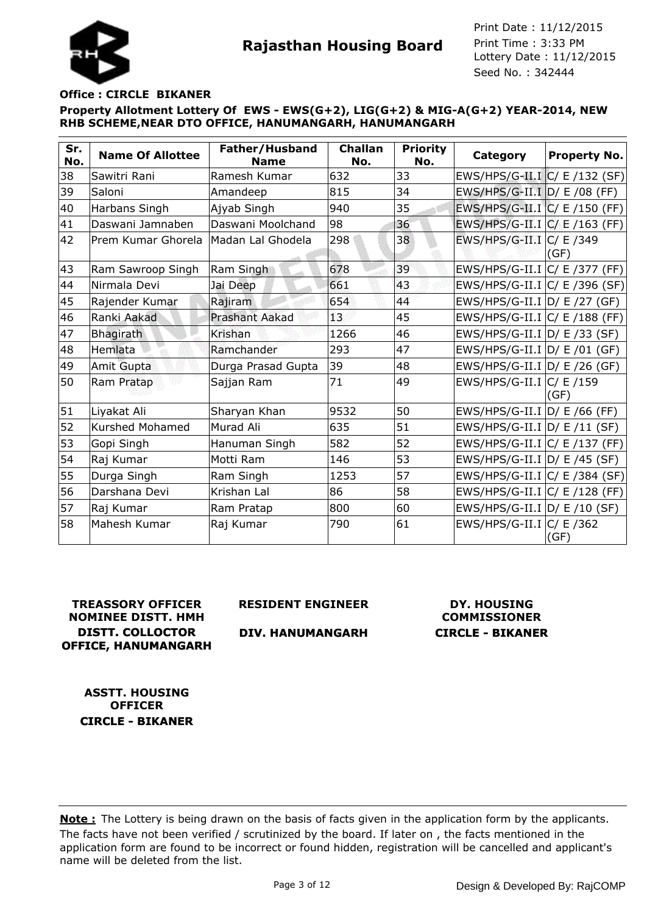

#### **Office : CIRCLE BIKANER**

**Property Allotment Lottery Of EWS - EWS(G+2), LIG(G+2) & MIG-A(G+2) YEAR-2014, NEW RHB SCHEME,NEAR DTO OFFICE, HANUMANGARH, HANUMANGARH**

| Sr.<br>No. | <b>Name Of Allottee</b> | Father/Husband<br><b>Name</b> | <b>Challan</b><br>No. | <b>Priority</b><br>No. | Category                         | <b>Property No.</b> |
|------------|-------------------------|-------------------------------|-----------------------|------------------------|----------------------------------|---------------------|
| 38         | Sawitri Rani            | Ramesh Kumar                  | 632                   | 33                     | $EWS/HPS/G-II.I C/E/132(SF) $    |                     |
| 39         | Saloni                  | Amandeep                      | 815                   | 34                     | EWS/HPS/G-II.I D/ E /08 (FF)     |                     |
| 40         | Harbans Singh           | Ajyab Singh                   | 940                   | 35                     | EWS/HPS/G-II.I $C / E$ /150 (FF) |                     |
| 41         | Daswani Jamnaben        | Daswani Moolchand             | 98                    | 36                     | EWS/HPS/G-II.I $ C $ E /163 (FF) |                     |
| 42         | Prem Kumar Ghorela      | Madan Lal Ghodela             | 298                   | 38                     | EWS/HPS/G-II.I $ C $ E /349      | (GF)                |
| 43         | Ram Sawroop Singh       | Ram Singh                     | 678                   | 39                     | EWS/HPS/G-II.I C/ E /377 (FF)    |                     |
| 44         | Nirmala Devi            | Jai Deep                      | 661                   | 43                     | EWS/HPS/G-II.I C/ E /396 (SF)    |                     |
| 45         | Rajender Kumar          | Rajiram                       | 654                   | 44                     | EWS/HPS/G-II.I $ D/E/27(GF) $    |                     |
| 46         | Ranki Aakad             | <b>Prashant Aakad</b>         | 13                    | 45                     | EWS/HPS/G-II.I C/ E /188 (FF)    |                     |
| 47         | Bhagirath               | Krishan                       | 1266                  | 46                     | EWS/HPS/G-II.I D/ E /33 (SF)     |                     |
| 48         | Hemlata                 | Ramchander                    | 293                   | 47                     | $EWS/HPS/G-II.I D/E/01(GF)$      |                     |
| 49         | Amit Gupta              | Durga Prasad Gupta            | 39                    | 48                     | EWS/HPS/G-II.I $D/E/26$ (GF)     |                     |
| 50         | Ram Pratap              | Sajjan Ram                    | 71                    | 49                     | EWS/HPS/G-II.I $ C $ E /159      | (GF)                |
| 51         | Liyakat Ali             | Sharyan Khan                  | 9532                  | 50                     | EWS/HPS/G-II.I D/ E /66 (FF)     |                     |
| 52         | <b>Kurshed Mohamed</b>  | Murad Ali                     | 635                   | 51                     | EWS/HPS/G-II.I D/ E /11 (SF)     |                     |
| 53         | Gopi Singh              | Hanuman Singh                 | 582                   | 52                     | EWS/HPS/G-II.I $ C/E/137(FF) $   |                     |
| 54         | Raj Kumar               | Motti Ram                     | 146                   | 53                     | EWS/HPS/G-II.I D/ E /45 (SF)     |                     |
| 55         | Durga Singh             | Ram Singh                     | 1253                  | 57                     | $EWS/HPS/G-II.I C/E/384(SF)$     |                     |
| 56         | Darshana Devi           | Krishan Lal                   | 86                    | 58                     | EWS/HPS/G-II.I $ C/E $ /128 (FF) |                     |
| 57         | Raj Kumar               | Ram Pratap                    | 800                   | 60                     | EWS/HPS/G-II.I $D / E / 10$ (SF) |                     |
| 58         | Mahesh Kumar            | Raj Kumar                     | 790                   | 61                     | EWS/HPS/G-II.I $ C $ E /362      | (GF)                |

**TREASSORY OFFICER NOMINEE DISTT. HMH DISTT. COLLOCTOR OFFICE, HANUMANGARH** **RESIDENT ENGINEER**

## **DIV. HANUMANGARH**

# **DY. HOUSING COMMISSIONER CIRCLE - BIKANER**

**ASSTT. HOUSING OFFICER CIRCLE - BIKANER**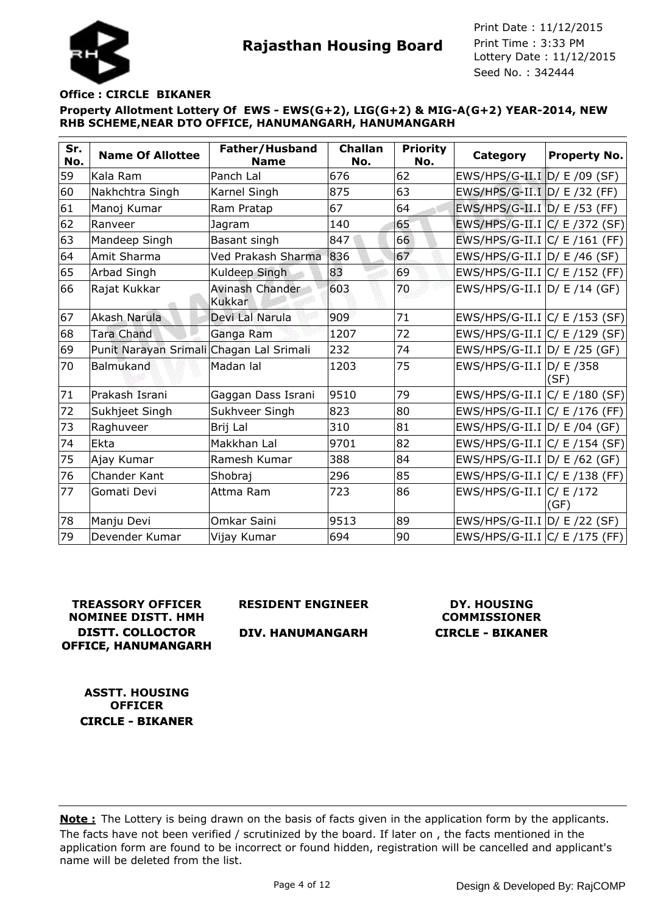

#### **Office : CIRCLE BIKANER**

**Property Allotment Lottery Of EWS - EWS(G+2), LIG(G+2) & MIG-A(G+2) YEAR-2014, NEW RHB SCHEME,NEAR DTO OFFICE, HANUMANGARH, HANUMANGARH**

| Sr.<br>No. | <b>Name Of Allottee</b>                  | Father/Husband<br><b>Name</b> | <b>Challan</b><br>No. | <b>Priority</b><br>No. | Category                         | <b>Property No.</b> |
|------------|------------------------------------------|-------------------------------|-----------------------|------------------------|----------------------------------|---------------------|
| 59         | Kala Ram                                 | Panch Lal                     | 676                   | 62                     | EWS/HPS/G-II.I D/ E /09 (SF)     |                     |
| 60         | Nakhchtra Singh                          | Karnel Singh                  | 875                   | 63                     | EWS/HPS/G-II.I D/ E /32 (FF)     |                     |
| 61         | Manoj Kumar                              | Ram Pratap                    | 67                    | 64                     | EWS/HPS/G-II.I D/ E /53 (FF)     |                     |
| 62         | Ranveer                                  | Jagram                        | 140                   | 65                     | $EWS/HPS/G-II.I  C/E/$ /372 (SF) |                     |
| 63         | Mandeep Singh                            | Basant singh                  | 847                   | 66                     | EWS/HPS/G-II.I C/ E /161 (FF)    |                     |
| 64         | Amit Sharma                              | Ved Prakash Sharma            | 836                   | 67                     | EWS/HPS/G-II.I D/ E /46 (SF)     |                     |
| 65         | Arbad Singh                              | Kuldeep Singh                 | 83                    | 69                     | EWS/HPS/G-II.I C/ E /152 (FF)    |                     |
| 66         | Rajat Kukkar                             | Avinash Chander<br>Kukkar     | 603                   | 70                     | $EWS/HPS/G-II.I D/E/14(GF)$      |                     |
| 67         | Akash Narula                             | Devi Lal Narula               | 909                   | 71                     | $EWS/HPS/G-II.I/C/ E/153 (SF)$   |                     |
| 68         | <b>Tara Chand</b>                        | Ganga Ram                     | 1207                  | 72                     | $EWS/HPS/G-II.I C/E/129(SF) $    |                     |
| 69         | Punit Narayan Srimali Chagan Lal Srimali |                               | 232                   | 74                     | EWS/HPS/G-II.I $D/E/25$ (GF)     |                     |
| 70         | Balmukand                                | Madan lal                     | 1203                  | 75                     | EWS/HPS/G-II.I $D/E$ /358        | (SF)                |
| 71         | Prakash Israni                           | Gaggan Dass Israni            | 9510                  | 79                     | $ EWS/HPS/G-II.I C/E/180(SF) $   |                     |
| 72         | Sukhjeet Singh                           | Sukhveer Singh                | 823                   | 80                     | $EWS/HPS/G-II.I/C/ E/176 (FF)$   |                     |
| 73         | Raghuveer                                | Brij Lal                      | 310                   | 81                     | EWS/HPS/G-II.I D/ E /04 (GF)     |                     |
| 74         | Ekta                                     | Makkhan Lal                   | 9701                  | 82                     | EWS/HPS/G-II.I C/ E /154 (SF)    |                     |
| 75         | Ajay Kumar                               | Ramesh Kumar                  | 388                   | 84                     | EWS/HPS/G-II.I $D/E$ /62 (GF)    |                     |
| 76         | Chander Kant                             | Shobraj                       | 296                   | 85                     | EWS/HPS/G-II.I $ C $ E /138 (FF) |                     |
| 77         | Gomati Devi                              | Attma Ram                     | 723                   | 86                     | EWS/HPS/G-II.I $ C $ E /172      | (GF)                |
| 78         | Manju Devi                               | Omkar Saini                   | 9513                  | 89                     | $EWS/HPS/G-II.I D/E/22(SF)$      |                     |
| 79         | Devender Kumar                           | Vijay Kumar                   | 694                   | 90                     | $EWS/HPS/G-II.I/C/ E/175 (FF)$   |                     |

# **TREASSORY OFFICER NOMINEE DISTT. HMH DISTT. COLLOCTOR OFFICE, HANUMANGARH**

**RESIDENT ENGINEER**

## **DIV. HANUMANGARH**

# **DY. HOUSING COMMISSIONER CIRCLE - BIKANER**

**ASSTT. HOUSING OFFICER CIRCLE - BIKANER**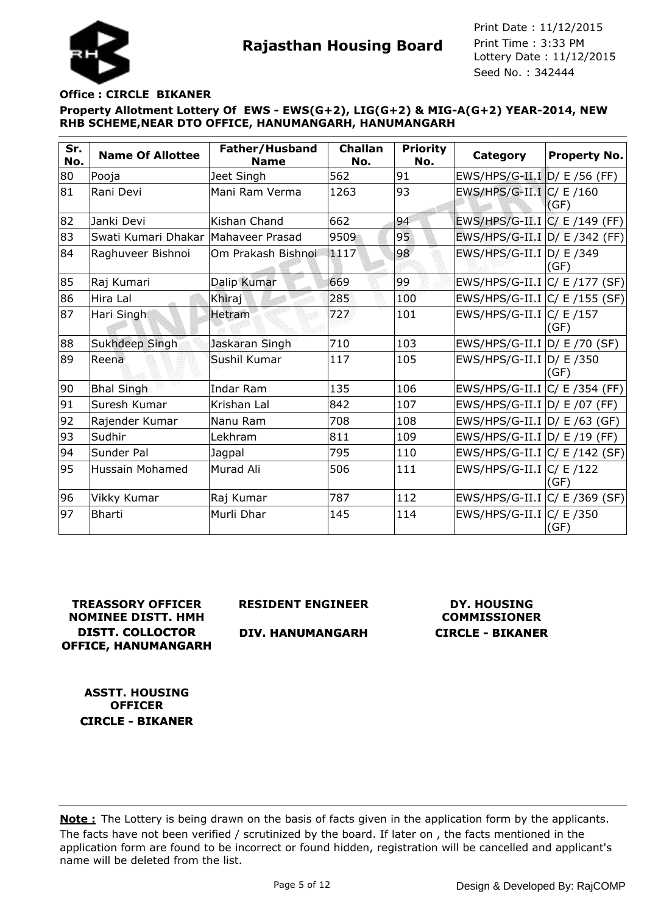## **Office : CIRCLE BIKANER**

**Property Allotment Lottery Of EWS - EWS(G+2), LIG(G+2) & MIG-A(G+2) YEAR-2014, NEW RHB SCHEME,NEAR DTO OFFICE, HANUMANGARH, HANUMANGARH**

| Sr.<br>No. | <b>Name Of Allottee</b>             | Father/Husband<br><b>Name</b> | <b>Challan</b><br>No. | <b>Priority</b><br>No. | Category                       | <b>Property No.</b> |
|------------|-------------------------------------|-------------------------------|-----------------------|------------------------|--------------------------------|---------------------|
| 80         | Pooja                               | Jeet Singh                    | 562                   | 91                     | EWS/HPS/G-II.I D/ E /56 (FF)   |                     |
| 81         | Rani Devi                           | Mani Ram Verma                | 1263                  | 93                     | EWS/HPS/G-II.I $C / E / 160$   | (GF)                |
| 82         | Janki Devi                          | Kishan Chand                  | 662                   | 94                     | EWS/HPS/G-II.I C/ E /149 (FF)  |                     |
| 83         | Swati Kumari Dhakar Mahaveer Prasad |                               | 9509                  | 95                     | EWS/HPS/G-II.I D/ E /342 (FF)  |                     |
| 84         | Raghuveer Bishnoi                   | Om Prakash Bishnoi            | 1117                  | 98                     | EWS/HPS/G-II.I D/ E /349       | (GF)                |
| 85         | Raj Kumari                          | Dalip Kumar                   | 669                   | 99                     | EWS/HPS/G-II.I C/ E /177 (SF)  |                     |
| 86         | Hira Lal                            | Khiraj                        | 285                   | 100                    | $EWS/HPS/G-II.I/C/E/155(SF)$   |                     |
| 87         | Hari Singh                          | Hetram                        | 727                   | 101                    | EWS/HPS/G-II.I $ C/E $ /157    | (GF)                |
| 88         | Sukhdeep Singh                      | Jaskaran Singh                | 710                   | 103                    | EWS/HPS/G-II.I D/ E /70 (SF)   |                     |
| 89         | Reena                               | Sushil Kumar                  | 117                   | 105                    | EWS/HPS/G-II.I D/ E /350       | (GF)                |
| 90         | <b>Bhal Singh</b>                   | Indar Ram                     | 135                   | 106                    | $EWS/HPS/G-II.I/C/ E/354 (FF)$ |                     |
| 91         | Suresh Kumar                        | Krishan Lal                   | 842                   | 107                    | EWS/HPS/G-II.I D/ E /07 (FF)   |                     |
| 92         | Rajender Kumar                      | Nanu Ram                      | 708                   | 108                    | $EWS/HPS/G-II.I D/E/63(GF)$    |                     |
| 93         | Sudhir                              | Lekhram                       | 811                   | 109                    | $EWS/HPS/G-II.I D/E/19(FF)$    |                     |
| 94         | Sunder Pal                          | Jagpal                        | 795                   | 110                    | $EWS/HPS/G-II.I C/E/142(SF) $  |                     |
| 95         | Hussain Mohamed                     | Murad Ali                     | 506                   | 111                    | EWS/HPS/G-II.I $ C/E $ /122    | (GF)                |
| 96         | Vikky Kumar                         | Raj Kumar                     | 787                   | 112                    | $EWS/HPS/G-II.I/C/ E/369 (SF)$ |                     |
| 97         | <b>Bharti</b>                       | Murli Dhar                    | 145                   | 114                    | EWS/HPS/G-II.I $ C $ E /350    | (GF)                |

**TREASSORY OFFICER NOMINEE DISTT. HMH DISTT. COLLOCTOR OFFICE, HANUMANGARH** **RESIDENT ENGINEER**

**DIV. HANUMANGARH**

**DY. HOUSING COMMISSIONER CIRCLE - BIKANER**

**ASSTT. HOUSING OFFICER CIRCLE - BIKANER**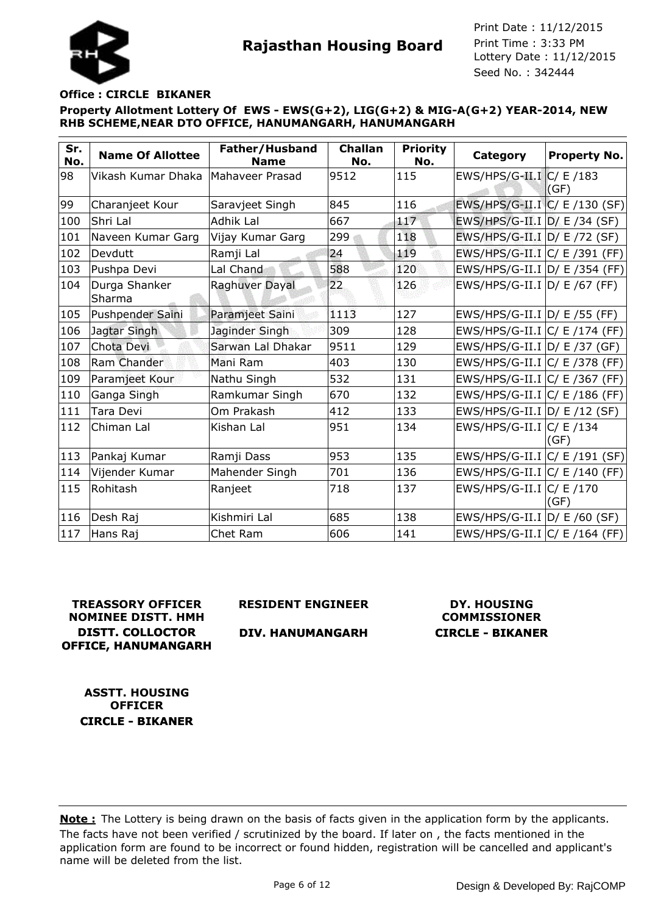## **Office : CIRCLE BIKANER**

**Property Allotment Lottery Of EWS - EWS(G+2), LIG(G+2) & MIG-A(G+2) YEAR-2014, NEW RHB SCHEME,NEAR DTO OFFICE, HANUMANGARH, HANUMANGARH**

| Sr.<br>No. | <b>Name Of Allottee</b> | Father/Husband<br><b>Name</b> | <b>Challan</b><br>No. | <b>Priority</b><br>No. | Category                         | <b>Property No.</b> |
|------------|-------------------------|-------------------------------|-----------------------|------------------------|----------------------------------|---------------------|
| 98         | Vikash Kumar Dhaka      | Mahaveer Prasad               | 9512                  | 115                    | $EWS/HPS/G-II.I/C/ E/183$        | (GF)                |
| 99         | Charanjeet Kour         | Saravjeet Singh               | 845                   | 116                    | EWS/HPS/G-II.I C/ E /130 (SF)    |                     |
| 100        | Shri Lal                | Adhik Lal                     | 667                   | 117                    | EWS/HPS/G-II.I D/ E /34 (SF)     |                     |
| 101        | Naveen Kumar Garg       | Vijay Kumar Garg              | 299                   | 118                    | EWS/HPS/G-II.I D/ E /72 (SF)     |                     |
| 102        | Devdutt                 | Ramji Lal                     | 24                    | 119                    | $EWS/HPS/G-II.I/C/ E/391 (FF)$   |                     |
| 103        | Pushpa Devi             | Lal Chand                     | 588                   | 120                    | EWS/HPS/G-II.I D/ E /354 (FF)    |                     |
| 104        | Durga Shanker<br>Sharma | Raghuver Dayal                | 22                    | 126                    | EWS/HPS/G-II.I $D / E$ /67 (FF)  |                     |
| 105        | <b>Pushpender Saini</b> | Paramjeet Saini               | 11.13                 | 127                    | $EWS/HPS/G-II.I D/E/55$ (FF)     |                     |
| 106        | Jagtar Singh            | Jaginder Singh                | 309                   | 128                    | EWS/HPS/G-II.I $ C $ E /174 (FF) |                     |
| 107        | Chota Devi              | Sarwan Lal Dhakar             | 9511                  | 129                    | EWS/HPS/G-II.I D/ E /37 (GF)     |                     |
| 108        | Ram Chander             | Mani Ram                      | 403                   | 130                    | EWS/HPS/G-II.I $ C $ E /378 (FF) |                     |
| 109        | Paramjeet Kour          | Nathu Singh                   | 532                   | 131                    | $EWS/HPS/G-II.I C/E/367(FF)$     |                     |
| 110        | Ganga Singh             | Ramkumar Singh                | 670                   | 132                    | EWS/HPS/G-II.I $C/$ E /186 (FF)  |                     |
| 111        | Tara Devi               | Om Prakash                    | 412                   | 133                    | EWS/HPS/G-II.I $D/E/12$ (SF)     |                     |
| 112        | Chiman Lal              | Kishan Lal                    | 951                   | 134                    | EWS/HPS/G-II.I $ C/E $ /134      | (GF)                |
| 113        | Pankaj Kumar            | Ramji Dass                    | 953                   | 135                    | $ EWS/HPS/G-II.I C/E/191(SF) $   |                     |
| 114        | Vijender Kumar          | Mahender Singh                | 701                   | 136                    | $EWS/HPS/G-II.I C/E/140(FF)$     |                     |
| 115        | Rohitash                | Ranjeet                       | 718                   | 137                    | EWS/HPS/G-II.I $ C/E /170$       | (GF)                |
| 116        | Desh Raj                | Kishmiri Lal                  | 685                   | 138                    | $EWS/HPS/G-II.I D/E/60(SF)$      |                     |
| 117        | Hans Raj                | Chet Ram                      | 606                   | 141                    | $EWS/HPS/G-II.I C/E/164(FF)$     |                     |

# **TREASSORY OFFICER NOMINEE DISTT. HMH DISTT. COLLOCTOR OFFICE, HANUMANGARH**

**RESIDENT ENGINEER**

## **DIV. HANUMANGARH**

# **DY. HOUSING COMMISSIONER CIRCLE - BIKANER**

**ASSTT. HOUSING OFFICER CIRCLE - BIKANER**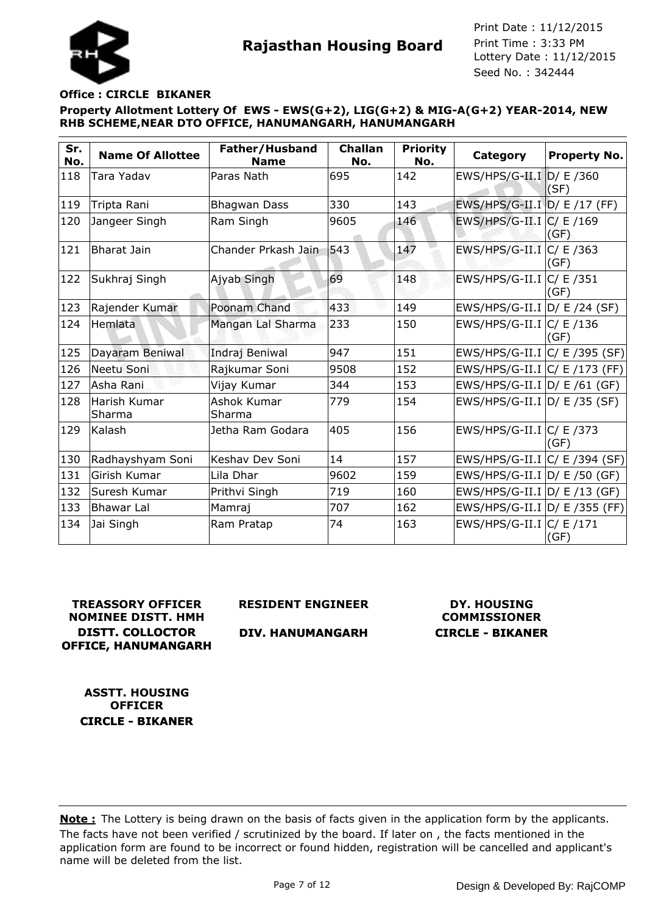



#### **Office : CIRCLE BIKANER**

**Property Allotment Lottery Of EWS - EWS(G+2), LIG(G+2) & MIG-A(G+2) YEAR-2014, NEW RHB SCHEME,NEAR DTO OFFICE, HANUMANGARH, HANUMANGARH**

| Sr.<br>No. | <b>Name Of Allottee</b> | Father/Husband<br><b>Name</b> | <b>Challan</b><br>No. | <b>Priority</b><br>No. | Category                        | <b>Property No.</b> |
|------------|-------------------------|-------------------------------|-----------------------|------------------------|---------------------------------|---------------------|
| 118        | Tara Yadav              | Paras Nath                    | 695                   | 142                    | EWS/HPS/G-II.I D/ E /360        | (SF)                |
| 119        | Tripta Rani             | <b>Bhagwan Dass</b>           | 330                   | 143                    | EWS/HPS/G-II.I D/ E /17 (FF)    |                     |
| 120        | Jangeer Singh           | Ram Singh                     | 9605                  | 146                    | EWS/HPS/G-II.I $ C $ E /169     | (GF)                |
| 121        | Bharat Jain             | Chander Prkash Jain           | 543                   | 147                    | EWS/HPS/G-II.I $ C/E $ /363     | (GF)                |
| 122        | Sukhraj Singh           | Ajyab Singh                   | 69                    | 148                    | $EWS/HPS/G-II.I C/E/351$        | (GF)                |
| 123        | Rajender Kumar          | Poonam Chand                  | 433                   | 149                    | EWS/HPS/G-II.I D/ E /24 (SF)    |                     |
| 124        | Hemlata                 | Mangan Lal Sharma             | 233                   | 150                    | EWS/HPS/G-II.I $ C/E $ /136     | (GF)                |
| 125        | Dayaram Beniwal         | Indraj Beniwal                | 947                   | 151                    | $EWS/HPS/G-II.I/C/ E/395 (SF)$  |                     |
| 126        | Neetu Soni              | Rajkumar Soni                 | 9508                  | 152                    | $EWS/HPS/G-II.I/C/ E/173 (FF)$  |                     |
| 127        | Asha Rani               | Vijay Kumar                   | 344                   | 153                    | EWS/HPS/G-II.I D/ E /61 (GF)    |                     |
| 128        | Harish Kumar<br>Sharma  | Ashok Kumar<br>Sharma         | 779                   | 154                    | EWS/HPS/G-II.I $D / E$ /35 (SF) |                     |
| 129        | Kalash                  | Jetha Ram Godara              | 405                   | 156                    | EWS/HPS/G-II.I C/ E /373        | (GF)                |
| 130        | Radhayshyam Soni        | Keshav Dev Soni               | 14                    | 157                    | EWS/HPS/G-II.I C/ E /394 (SF)   |                     |
| 131        | Girish Kumar            | Lila Dhar                     | 9602                  | 159                    | $EWS/HPS/G-II.I D/E/50(GF)$     |                     |
| 132        | Suresh Kumar            | Prithvi Singh                 | 719                   | 160                    | EWS/HPS/G-II.I $D/E/13$ (GF)    |                     |
| 133        | <b>Bhawar Lal</b>       | Mamraj                        | 707                   | 162                    | EWS/HPS/G-II.I D/ E /355 (FF)   |                     |
| 134        | Jai Singh               | Ram Pratap                    | 74                    | 163                    | EWS/HPS/G-II.I C/ E /171        | (GF)                |

# **TREASSORY OFFICER NOMINEE DISTT. HMH DISTT. COLLOCTOR OFFICE, HANUMANGARH**

**RESIDENT ENGINEER**

## **DIV. HANUMANGARH**

# **DY. HOUSING COMMISSIONER CIRCLE - BIKANER**

**ASSTT. HOUSING OFFICER CIRCLE - BIKANER**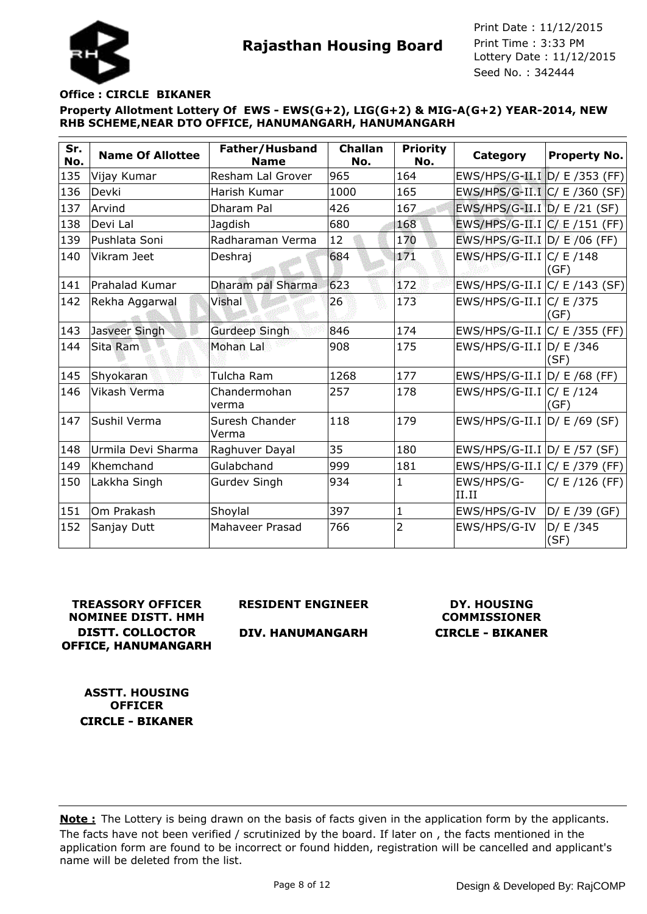

## **Office : CIRCLE BIKANER**

**Property Allotment Lottery Of EWS - EWS(G+2), LIG(G+2) & MIG-A(G+2) YEAR-2014, NEW RHB SCHEME,NEAR DTO OFFICE, HANUMANGARH, HANUMANGARH**

| Sr.<br>No. | <b>Name Of Allottee</b> | Father/Husband<br><b>Name</b> | <b>Challan</b><br>No. | <b>Priority</b><br>No. | Category                         | <b>Property No.</b> |
|------------|-------------------------|-------------------------------|-----------------------|------------------------|----------------------------------|---------------------|
| 135        | Vijay Kumar             | Resham Lal Grover             | 965                   | 164                    | EWS/HPS/G-II.I D/ E /353 (FF)    |                     |
| 136        | Devki                   | Harish Kumar                  | 1000                  | 165                    | $EWS/HPS/G-II.I C/E/360(SF) $    |                     |
| 137        | Arvind                  | Dharam Pal                    | 426                   | 167                    | EWS/HPS/G-II.I D/ E /21 (SF)     |                     |
| 138        | Devi Lal                | Jagdish                       | 680                   | 168                    | $EWS/HPS/G-II.I C/E/151(FF)$     |                     |
| 139        | Pushlata Soni           | Radharaman Verma              | 12                    | 170                    | EWS/HPS/G-II.I D/ E /06 (FF)     |                     |
| 140        | Vikram Jeet             | Deshraj                       | 684                   | 171                    | EWS/HPS/G-II.I $ C/E $ /148      | (GF)                |
| 141        | lPrahalad Kumar         | Dharam pal Sharma             | 623                   | 172                    | EWS/HPS/G-II.I $ C/E/143(SF) $   |                     |
| 142        | Rekha Aggarwal          | Vishal                        | 26                    | 173                    | EWS/HPS/G-II.I $ C/E $ /375      | (GF)                |
| 143        | Jasveer Singh           | <b>Gurdeep Singh</b>          | 846                   | 174                    | EWS/HPS/G-II.I $ C $ E /355 (FF) |                     |
| 144        | Sita Ram                | Mohan Lal                     | 908                   | 175                    | EWS/HPS/G-II.I $D/E$ /346        | (SF)                |
| 145        | Shyokaran               | Tulcha Ram                    | 1268                  | 177                    | EWS/HPS/G-II.I D/ E /68 (FF)     |                     |
| 146        | Vikash Verma            | Chandermohan<br>verma         | 257                   | 178                    | $EWS/HPS/G-II.I/C/ E/124$        | (GF)                |
| 147        | Sushil Verma            | Suresh Chander<br>Verma       | 118                   | 179                    | EWS/HPS/G-II.I $D / E$ /69 (SF)  |                     |
| 148        | Urmila Devi Sharma      | Raghuver Dayal                | 35                    | 180                    | EWS/HPS/G-II.I D/ E /57 (SF)     |                     |
| 149        | Khemchand               | Gulabchand                    | 999                   | 181                    | EWS/HPS/G-II.I C/ E /379 (FF)    |                     |
| 150        | Lakkha Singh            | <b>Gurdev Singh</b>           | 934                   | 1                      | EWS/HPS/G-<br>II.II              | C/ E / 126 (FF)     |
| 151        | Om Prakash              | Shoylal                       | 397                   | $\mathbf{1}$           | EWS/HPS/G-IV                     | D/E/39(GF)          |
| 152        | Sanjay Dutt             | Mahaveer Prasad               | 766                   | $\overline{2}$         | EWS/HPS/G-IV                     | D/ E /345<br>(SF)   |

**TREASSORY OFFICER NOMINEE DISTT. HMH DISTT. COLLOCTOR OFFICE, HANUMANGARH** **RESIDENT ENGINEER**

## **DIV. HANUMANGARH**

# **DY. HOUSING COMMISSIONER CIRCLE - BIKANER**

**ASSTT. HOUSING OFFICER CIRCLE - BIKANER**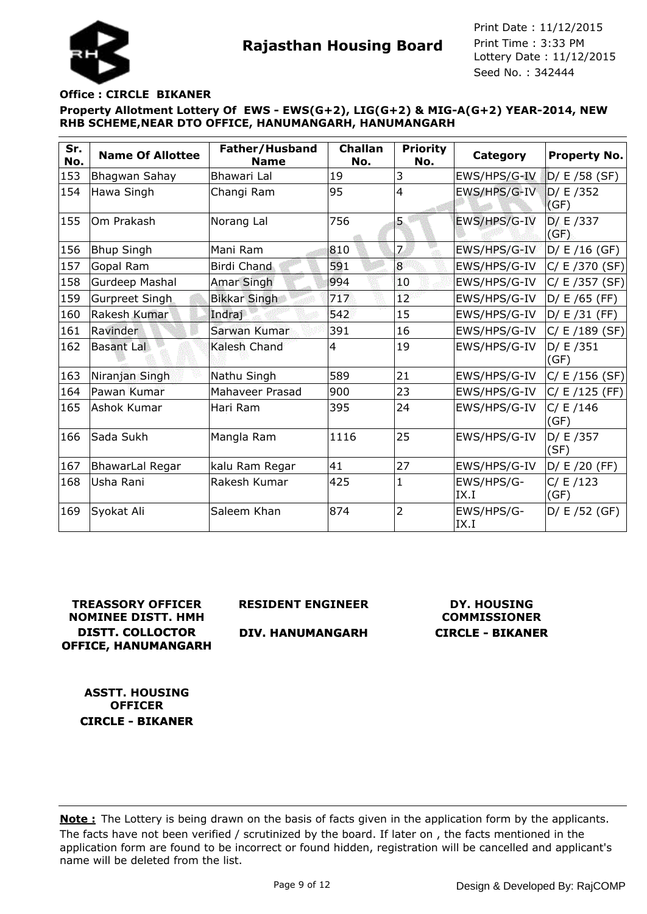## **Office : CIRCLE BIKANER**

**Property Allotment Lottery Of EWS - EWS(G+2), LIG(G+2) & MIG-A(G+2) YEAR-2014, NEW RHB SCHEME,NEAR DTO OFFICE, HANUMANGARH, HANUMANGARH**

| Sr.<br>No. | <b>Name Of Allottee</b> | Father/Husband<br><b>Name</b> | <b>Challan</b><br>No. | <b>Priority</b><br>No. | Category           | <b>Property No.</b> |
|------------|-------------------------|-------------------------------|-----------------------|------------------------|--------------------|---------------------|
| 153        | Bhagwan Sahay           | Bhawari Lal                   | 19                    | 3                      | EWS/HPS/G-IV       | $D / E / 58$ (SF)   |
| 154        | Hawa Singh              | Changi Ram                    | 95                    | $\overline{4}$         | EWS/HPS/G-IV       | D/ E /352<br>(GF)   |
| 155        | Om Prakash              | Norang Lal                    | 756                   | 5                      | EWS/HPS/G-IV       | D/E/337<br>(GF)     |
| 156        | <b>Bhup Singh</b>       | Mani Ram                      | 810                   | $\overline{z}$         | EWS/HPS/G-IV       | D/E/16(GF)          |
| 157        | Gopal Ram               | <b>Birdi Chand</b>            | 591                   | $\overline{8}$         | EWS/HPS/G-IV       | C/E/370(SF)         |
| 158        | Gurdeep Mashal          | <b>Amar Singh</b>             | 994                   | 10                     | EWS/HPS/G-IV       | C/E/357(SF)         |
| 159        | Gurpreet Singh          | <b>Bikkar Singh</b>           | 717                   | 12 <sup>°</sup>        | EWS/HPS/G-IV       | D/ E /65 (FF)       |
| 160        | Rakesh Kumar            | Indraj                        | 542                   | 15                     | EWS/HPS/G-IV       | D/ E /31 (FF)       |
| 161        | Ravinder                | Sarwan Kumar                  | 391                   | 16                     | EWS/HPS/G-IV       | C/ E / 189 (SF)     |
| 162        | <b>Basant Lal</b>       | Kalesh Chand                  | $\overline{4}$        | 19                     | EWS/HPS/G-IV       | D / E / 351<br>(GF) |
| 163        | Niranjan Singh          | Nathu Singh                   | 589                   | 21                     | EWS/HPS/G-IV       | C/E/156(SF)         |
| 164        | Pawan Kumar             | Mahaveer Prasad               | 900                   | 23                     | EWS/HPS/G-IV       | C / E / 125 (FF)    |
| 165        | Ashok Kumar             | Hari Ram                      | 395                   | 24                     | EWS/HPS/G-IV       | C/ E / 146<br>(GF)  |
| 166        | Sada Sukh               | Mangla Ram                    | 1116                  | 25                     | EWS/HPS/G-IV       | D/ E /357<br>(SF)   |
| 167        | <b>BhawarLal Regar</b>  | kalu Ram Regar                | 41                    | 27                     | EWS/HPS/G-IV       | $D / E / 20$ (FF)   |
| 168        | Usha Rani               | Rakesh Kumar                  | 425                   | 1                      | EWS/HPS/G-<br>IX.I | C / E / 123<br>(GF) |
| 169        | Syokat Ali              | Saleem Khan                   | 874                   | $\overline{2}$         | EWS/HPS/G-<br>IX.I | $D / E / 52$ (GF)   |

**TREASSORY OFFICER NOMINEE DISTT. HMH DISTT. COLLOCTOR OFFICE, HANUMANGARH**

**RESIDENT ENGINEER**

**DIV. HANUMANGARH**

**DY. HOUSING COMMISSIONER CIRCLE - BIKANER**

**ASSTT. HOUSING OFFICER CIRCLE - BIKANER**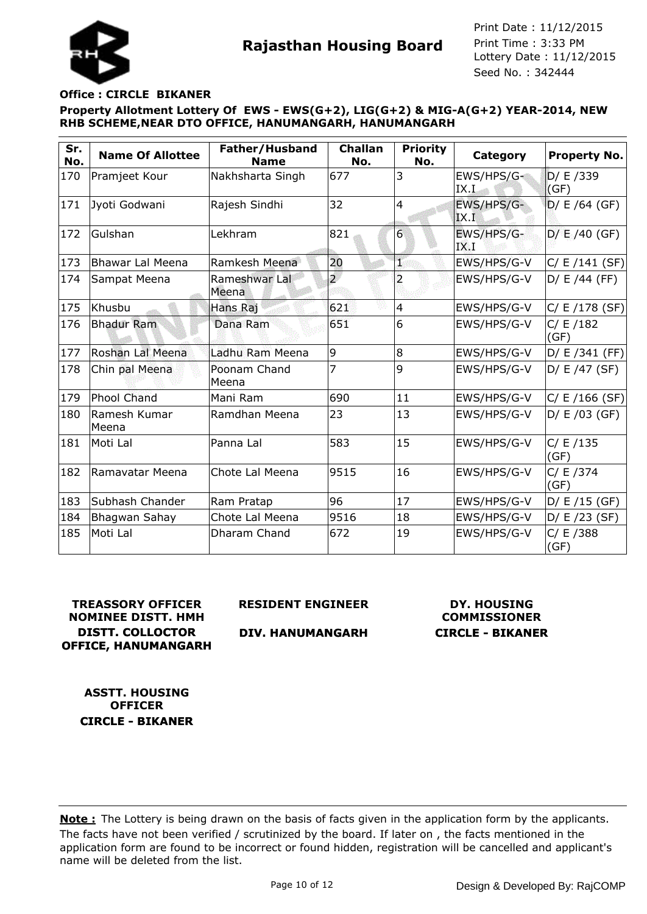

## **Office : CIRCLE BIKANER**

**Property Allotment Lottery Of EWS - EWS(G+2), LIG(G+2) & MIG-A(G+2) YEAR-2014, NEW RHB SCHEME,NEAR DTO OFFICE, HANUMANGARH, HANUMANGARH**

| Sr.<br>No. | <b>Name Of Allottee</b> | Father/Husband<br><b>Name</b> | <b>Challan</b><br>No. | <b>Priority</b><br>No. | Category           | Property No.        |
|------------|-------------------------|-------------------------------|-----------------------|------------------------|--------------------|---------------------|
| 170        | Pramjeet Kour           | Nakhsharta Singh              | 677                   | 3                      | EWS/HPS/G-<br>IX.I | D/ E /339<br>(GF)   |
| 171        | Jyoti Godwani           | Rajesh Sindhi                 | 32                    | $\overline{4}$         | EWS/HPS/G-<br>IX.I | $D / E / 64$ (GF)   |
| 172        | Gulshan                 | Lekhram                       | 821                   | 6                      | EWS/HPS/G-<br>IX I | $D / E / 40$ (GF)   |
| 173        | <b>Bhawar Lal Meena</b> | Ramkesh Meena                 | 20                    | ī                      | EWS/HPS/G-V        | C/ E / 141 (SF)     |
| 174        | Sampat Meena            | Rameshwar Lal<br>Meena        | $\overline{2}$        | $\overline{a}$         | EWS/HPS/G-V        | $D / E / 44$ (FF)   |
| 175        | Khusbu                  | Hans Raj                      | 621                   | 4                      | EWS/HPS/G-V        | C/ E / 178 (SF)     |
| 176        | <b>Bhadur Ram</b>       | Dana Ram                      | 651                   | 6                      | EWS/HPS/G-V        | C/ E / 182<br>(GF)  |
| 177        | Roshan Lal Meena        | Ladhu Ram Meena               | 9                     | 8                      | EWS/HPS/G-V        | $D / E / 341$ (FF)  |
| 178        | Chin pal Meena          | Poonam Chand<br>Meena         | 7                     | 9                      | EWS/HPS/G-V        | $D / E / 47$ (SF)   |
| 179        | <b>Phool Chand</b>      | Mani Ram                      | 690                   | 11                     | EWS/HPS/G-V        | $C/ E / 166$ (SF)   |
| 180        | Ramesh Kumar<br>Meena   | Ramdhan Meena                 | 23                    | 13                     | EWS/HPS/G-V        | $D / E / 03$ (GF)   |
| 181        | Moti Lal                | Panna Lal                     | 583                   | 15                     | EWS/HPS/G-V        | C / E / 135<br>(GF) |
| 182        | Ramavatar Meena         | Chote Lal Meena               | 9515                  | 16                     | EWS/HPS/G-V        | C / E / 374<br>(GF) |
| 183        | Subhash Chander         | Ram Pratap                    | 96                    | 17                     | EWS/HPS/G-V        | $D / E / 15$ (GF)   |
| 184        | Bhagwan Sahay           | Chote Lal Meena               | 9516                  | 18                     | EWS/HPS/G-V        | $D / E / 23$ (SF)   |
| 185        | Moti Lal                | Dharam Chand                  | 672                   | 19                     | EWS/HPS/G-V        | C/ E /388<br>(GF)   |

## **TREASSORY OFFICER NOMINEE DISTT. HMH DISTT. COLLOCTOR OFFICE, HANUMANGARH**

**RESIDENT ENGINEER**

## **DIV. HANUMANGARH**

# **DY. HOUSING COMMISSIONER CIRCLE - BIKANER**

**ASSTT. HOUSING OFFICER CIRCLE - BIKANER**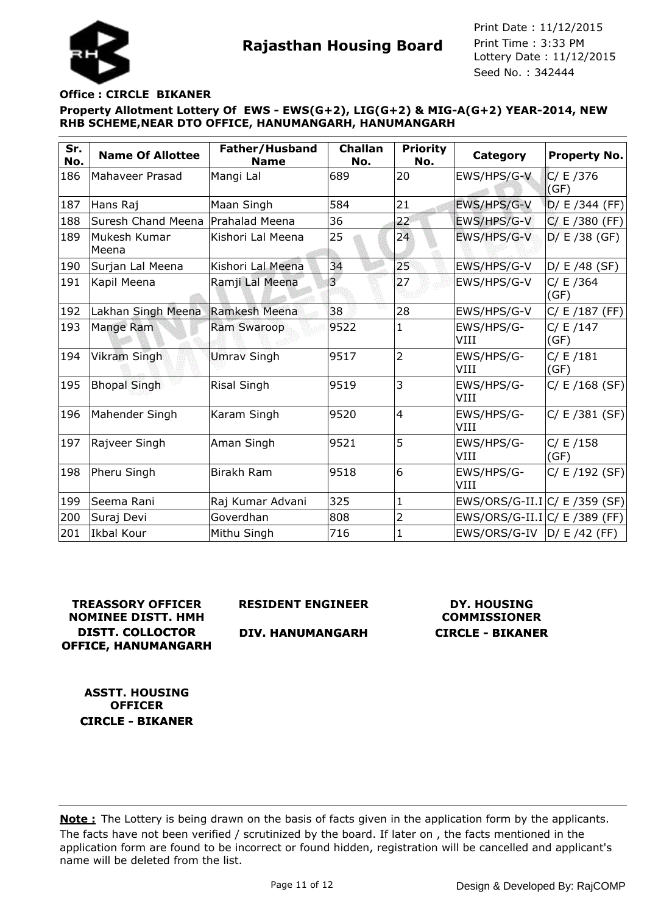

## **Office : CIRCLE BIKANER**

**Property Allotment Lottery Of EWS - EWS(G+2), LIG(G+2) & MIG-A(G+2) YEAR-2014, NEW RHB SCHEME,NEAR DTO OFFICE, HANUMANGARH, HANUMANGARH**

| Sr.<br>No. | <b>Name Of Allottee</b>             | Father/Husband<br><b>Name</b> | <b>Challan</b><br>No. | <b>Priority</b><br>No. | <b>Category</b>               | <b>Property No.</b> |
|------------|-------------------------------------|-------------------------------|-----------------------|------------------------|-------------------------------|---------------------|
| 186        | Mahaveer Prasad                     | Mangi Lal                     | 689                   | 20                     | EWS/HPS/G-V                   | C/ E / 376<br>(GF)  |
| 187        | Hans Raj                            | Maan Singh                    | 584                   | 21                     | EWS/HPS/G-V                   | D/ E /344 (FF)      |
| 188        | Suresh Chand Meena   Prahalad Meena |                               | 36                    | 22                     | EWS/HPS/G-V                   | $C/ E / 380$ (FF)   |
| 189        | Mukesh Kumar<br>Meena               | Kishori Lal Meena             | 25                    | 24                     | EWS/HPS/G-V                   | $D / E / 38$ (GF)   |
| 190        | Surjan Lal Meena                    | Kishori Lal Meena             | 34                    | 25                     | EWS/HPS/G-V                   | D/ E /48 (SF)       |
| 191        | Kapil Meena                         | Ramji Lal Meena               | $\overline{3}$        | 27                     | EWS/HPS/G-V                   | C/ E / 364<br>(GF)  |
| 192        | Lakhan Singh Meena                  | Ramkesh Meena                 | 38                    | 28                     | EWS/HPS/G-V                   | $C/ E / 187$ (FF)   |
| 193        | Mange Ram                           | Ram Swaroop                   | 9522                  | 1                      | EWS/HPS/G-<br>VIII            | C / E / 147<br>(GF) |
| 194        | <b>Vikram Singh</b>                 | <b>Umrav Singh</b>            | 9517                  | $\overline{2}$         | EWS/HPS/G-<br>VIII            | C / E / 181<br>(GF) |
| 195        | <b>Bhopal Singh</b>                 | Risal Singh                   | 9519                  | 3                      | EWS/HPS/G-<br>VIII            | C/ E / 168 (SF)     |
| 196        | Mahender Singh                      | Karam Singh                   | 9520                  | $\overline{4}$         | EWS/HPS/G-<br>VIII            | C/ E / 381 (SF)     |
| 197        | Rajveer Singh                       | Aman Singh                    | 9521                  | 5                      | EWS/HPS/G-<br>VIII            | C/ E / 158<br>(GF)  |
| 198        | Pheru Singh                         | <b>Birakh Ram</b>             | 9518                  | 6                      | EWS/HPS/G-<br>VIII            | $C / E / 192$ (SF)  |
| 199        | Seema Rani                          | Raj Kumar Advani              | 325                   | 1                      | EWS/ORS/G-II.I C/ E /359 (SF) |                     |
| 200        | Suraj Devi                          | Goverdhan                     | 808                   | 2                      | EWS/ORS/G-II.I C/ E /389 (FF) |                     |
| 201        | Ikbal Kour                          | Mithu Singh                   | 716                   | 1                      | $EWS/ORS/G-IV$ $ D/E/42$ (FF) |                     |

**TREASSORY OFFICER NOMINEE DISTT. HMH DISTT. COLLOCTOR OFFICE, HANUMANGARH** **RESIDENT ENGINEER**

**DIV. HANUMANGARH**

**DY. HOUSING COMMISSIONER CIRCLE - BIKANER**

**ASSTT. HOUSING OFFICER CIRCLE - BIKANER**